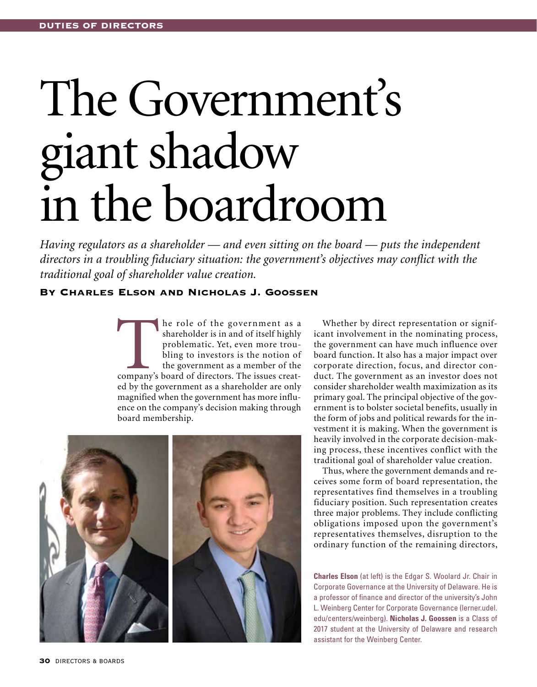# The Government's giant shadow in the boardroom

*Having regulators as a shareholder — and even sitting on the board — puts the independent directors in a troubling fiduciary situation: the government's objectives may conflict with the traditional goal of shareholder value creation.* 

# By Charles Elson and Nicholas J. Goossen

The role of the government as a shareholder is in and of itself highly problematic. Yet, even more troubling to investors is the notion of the government as a member of the company's board of directors. The issues creatshareholder is in and of itself highly problematic. Yet, even more troubling to investors is the notion of the government as a member of the ed by the government as a shareholder are only magnified when the government has more influence on the company's decision making through board membership.



Whether by direct representation or significant involvement in the nominating process, the government can have much influence over board function. It also has a major impact over corporate direction, focus, and director conduct. The government as an investor does not consider shareholder wealth maximization as its primary goal. The principal objective of the government is to bolster societal benefits, usually in the form of jobs and political rewards for the investment it is making. When the government is heavily involved in the corporate decision-making process, these incentives conflict with the traditional goal of shareholder value creation.

Thus, where the government demands and receives some form of board representation, the representatives find themselves in a troubling fiduciary position. Such representation creates three major problems. They include conflicting obligations imposed upon the government's representatives themselves, disruption to the ordinary function of the remaining directors,

**Charles Elson** (at left) is the Edgar S. Woolard Jr. Chair in Corporate Governance at the University of Delaware. He is a professor of finance and director of the university's John L. Weinberg Center for Corporate Governance (lerner.udel. edu/centers/weinberg). **Nicholas J. Goossen** is a Class of 2017 student at the University of Delaware and research assistant for the Weinberg Center.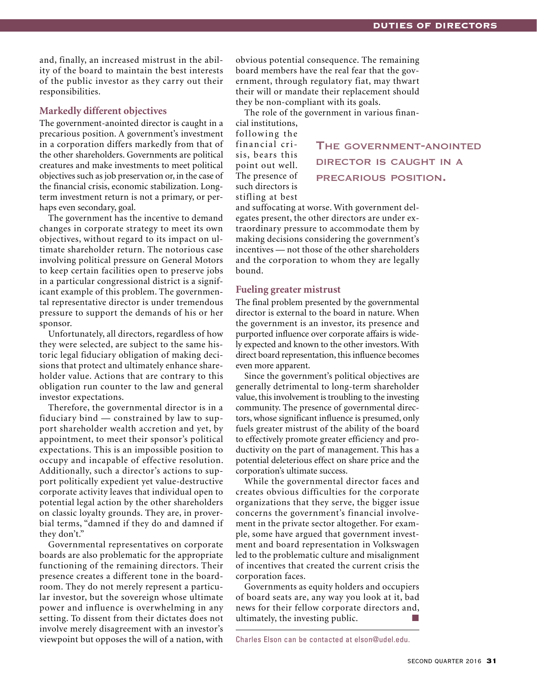and, finally, an increased mistrust in the ability of the board to maintain the best interests of the public investor as they carry out their responsibilities.

# **Markedly different objectives**

The government-anointed director is caught in a precarious position. A government's investment in a corporation differs markedly from that of the other shareholders. Governments are political creatures and make investments to meet political objectives such as job preservation or, in the case of the financial crisis, economic stabilization. Longterm investment return is not a primary, or perhaps even secondary, goal.

The government has the incentive to demand changes in corporate strategy to meet its own objectives, without regard to its impact on ultimate shareholder return. The notorious case involving political pressure on General Motors to keep certain facilities open to preserve jobs in a particular congressional district is a significant example of this problem. The governmental representative director is under tremendous pressure to support the demands of his or her sponsor.

Unfortunately, all directors, regardless of how they were selected, are subject to the same historic legal fiduciary obligation of making decisions that protect and ultimately enhance shareholder value. Actions that are contrary to this obligation run counter to the law and general investor expectations.

Therefore, the governmental director is in a fiduciary bind — constrained by law to support shareholder wealth accretion and yet, by appointment, to meet their sponsor's political expectations. This is an impossible position to occupy and incapable of effective resolution. Additionally, such a director's actions to support politically expedient yet value-destructive corporate activity leaves that individual open to potential legal action by the other shareholders on classic loyalty grounds. They are, in proverbial terms, "damned if they do and damned if they don't."

Governmental representatives on corporate boards are also problematic for the appropriate functioning of the remaining directors. Their presence creates a different tone in the boardroom. They do not merely represent a particular investor, but the sovereign whose ultimate power and influence is overwhelming in any setting. To dissent from their dictates does not involve merely disagreement with an investor's viewpoint but opposes the will of a nation, with

obvious potential consequence. The remaining board members have the real fear that the government, through regulatory fiat, may thwart their will or mandate their replacement should they be non-compliant with its goals.

The role of the government in various financial institutions,

following the financial crisis, bears this point out well. The presence of such directors is stifling at best

director is caught in a precarious position.

The government-anointed

and suffocating at worse. With government delegates present, the other directors are under extraordinary pressure to accommodate them by making decisions considering the government's incentives — not those of the other shareholders and the corporation to whom they are legally bound.

### **Fueling greater mistrust**

The final problem presented by the governmental director is external to the board in nature. When the government is an investor, its presence and purported influence over corporate affairs is widely expected and known to the other investors. With direct board representation, this influence becomes even more apparent.

Since the government's political objectives are generally detrimental to long-term shareholder value, this involvement is troubling to the investing community. The presence of governmental directors, whose significant influence is presumed, only fuels greater mistrust of the ability of the board to effectively promote greater efficiency and productivity on the part of management. This has a potential deleterious effect on share price and the corporation's ultimate success.

While the governmental director faces and creates obvious difficulties for the corporate organizations that they serve, the bigger issue concerns the government's financial involvement in the private sector altogether. For example, some have argued that government investment and board representation in Volkswagen led to the problematic culture and misalignment of incentives that created the current crisis the corporation faces.

Governments as equity holders and occupiers of board seats are, any way you look at it, bad news for their fellow corporate directors and, ultimately, the investing public.

Charles Elson can be contacted at elson@udel.edu.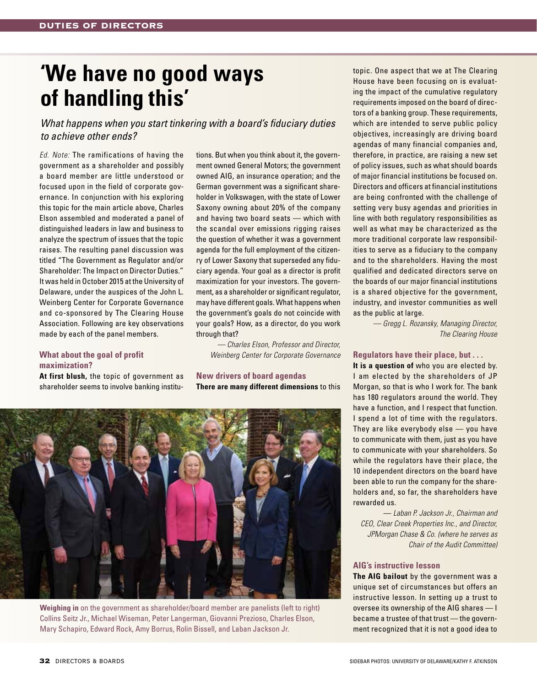# **'We have no good ways of handling this'**

*What happens when you start tinkering with a board's fiduciary duties to achieve other ends?* 

*Ed. Note:* The ramifications of having the government as a shareholder and possibly a board member are little understood or focused upon in the field of corporate governance. In conjunction with his exploring this topic for the main article above, Charles Elson assembled and moderated a panel of distinguished leaders in law and business to analyze the spectrum of issues that the topic raises. The resulting panel discussion was titled "The Government as Regulator and/or Shareholder: The Impact on Director Duties." It was held in October 2015 at the University of Delaware, under the auspices of the John L. Weinberg Center for Corporate Governance and co-sponsored by The Clearing House Association. Following are key observations made by each of the panel members.

# **What about the goal of profit maximization?**

**At first blush,** the topic of government as shareholder seems to involve banking institu-

tions. But when you think about it, the government owned General Motors; the government owned AIG, an insurance operation; and the German government was a significant shareholder in Volkswagen, with the state of Lower Saxony owning about 20% of the company and having two board seats — which with the scandal over emissions rigging raises the question of whether it was a government agenda for the full employment of the citizenry of Lower Saxony that superseded any fiduciary agenda. Your goal as a director is profit maximization for your investors. The government, as a shareholder or significant regulator, may have different goals. What happens when the government's goals do not coincide with your goals? How, as a director, do you work through that?

*— Charles Elson, Professor and Director, Weinberg Center for Corporate Governance* 

# **New drivers of board agendas There are many different dimensions** to this



**Weighing in** on the government as shareholder/board member are panelists (left to right) Collins Seitz Jr., Michael Wiseman, Peter Langerman, Giovanni Prezioso, Charles Elson, Mary Schapiro, Edward Rock, Amy Borrus, Rolin Bissell, and Laban Jackson Jr.

topic. One aspect that we at The Clearing House have been focusing on is evaluating the impact of the cumulative regulatory requirements imposed on the board of directors of a banking group. These requirements, which are intended to serve public policy objectives, increasingly are driving board agendas of many financial companies and, therefore, in practice, are raising a new set of policy issues, such as what should boards of major financial institutions be focused on. Directors and officers at financial institutions are being confronted with the challenge of setting very busy agendas and priorities in line with both regulatory responsibilities as well as what may be characterized as the more traditional corporate law responsibilities to serve as a fiduciary to the company and to the shareholders. Having the most qualified and dedicated directors serve on the boards of our major financial institutions is a shared objective for the government, industry, and investor communities as well as the public at large.

*— Gregg L. Rozansky, Managing Director, The Clearing House*

# **Regulators have their place, but . . .**

**It is a question of** who you are elected by. I am elected by the shareholders of JP Morgan, so that is who I work for. The bank has 180 regulators around the world. They have a function, and I respect that function. I spend a lot of time with the regulators. They are like everybody else — you have to communicate with them, just as you have to communicate with your shareholders. So while the regulators have their place, the 10 independent directors on the board have been able to run the company for the shareholders and, so far, the shareholders have rewarded us.

— *Laban P. Jackson Jr., Chairman and CEO, Clear Creek Properties Inc., and Director, JPMorgan Chase & Co. (where he serves as Chair of the Audit Committee)*

# **AIG's instructive lesson**

**The AIG bailout** by the government was a unique set of circumstances but offers an instructive lesson. In setting up a trust to oversee its ownership of the AIG shares — I became a trustee of that trust — the government recognized that it is not a good idea to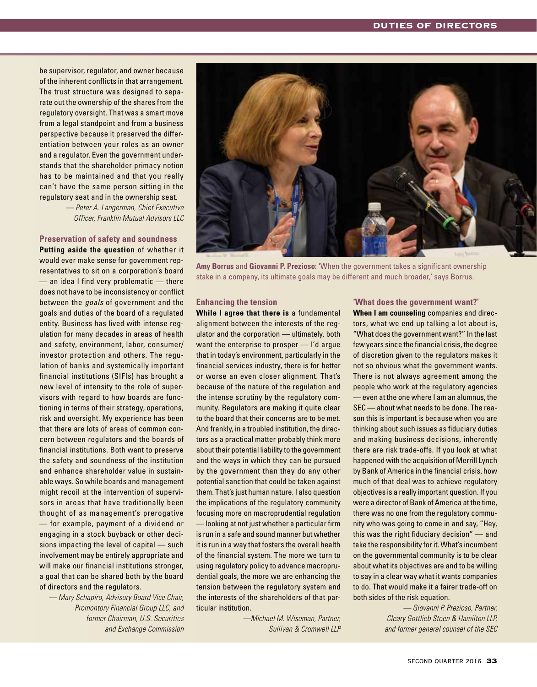be supervisor, regulator, and owner because of the inherent conflicts in that arrangement. The trust structure was designed to separate out the ownership of the shares from the regulatory oversight. That was a smart move from a legal standpoint and from a business perspective because it preserved the differentiation between your roles as an owner and a regulator. Even the government understands that the shareholder primacy notion has to be maintained and that you really can't have the same person sitting in the regulatory seat and in the ownership seat.

> *— Peter A. Langerman, Chief Executive Officer, Franklin Mutual Advisors LLC*

#### **Preservation of safety and soundness**

**Putting aside the question** of whether it would ever make sense for government representatives to sit on a corporation's board  $-$  an idea I find very problematic  $-$  there does not have to be inconsistency or conflict between the *goals* of government and the goals and duties of the board of a regulated entity. Business has lived with intense regulation for many decades in areas of health and safety, environment, labor, consumer/ investor protection and others. The regulation of banks and systemically important financial institutions (SIFIs) has brought a new level of intensity to the role of supervisors with regard to how boards are functioning in terms of their strategy, operations, risk and oversight. My experience has been that there are lots of areas of common concern between regulators and the boards of financial institutions. Both want to preserve the safety and soundness of the institution and enhance shareholder value in sustainable ways. So while boards and management might recoil at the intervention of supervisors in areas that have traditionally been thought of as management's prerogative — for example, payment of a dividend or engaging in a stock buyback or other decisions impacting the level of capital — such involvement may be entirely appropriate and will make our financial institutions stronger, a goal that can be shared both by the board of directors and the regulators.

*— Mary Schapiro, Advisory Board Vice Chair, Promontory Financial Group LLC, and former Chairman, U.S. Securities and Exchange Commission*



**Amy Borrus** and **Giovanni P. Prezioso: '**When the government takes a significant ownership stake in a company, its ultimate goals may be different and much broader,' says Borrus.

#### **Enhancing the tension**

**While I agree that there is** a fundamental alignment between the interests of the regulator and the corporation — ultimately, both want the enterprise to prosper — I'd argue that in today's environment, particularly in the financial services industry, there is for better or worse an even closer alignment. That's because of the nature of the regulation and the intense scrutiny by the regulatory community. Regulators are making it quite clear to the board that their concerns are to be met. And frankly, in a troubled institution, the directors as a practical matter probably think more about their potential liability to the government and the ways in which they can be pursued by the government than they do any other potential sanction that could be taken against them. That's just human nature. I also question the implications of the regulatory community focusing more on macroprudential regulation — looking at not just whether a particular firm is run in a safe and sound manner but whether it is run in a way that fosters the overall health of the financial system. The more we turn to using regulatory policy to advance macroprudential goals, the more we are enhancing the tension between the regulatory system and the interests of the shareholders of that particular institution.

> *—Michael M. Wiseman, Partner, Sullivan & Cromwell LLP*

#### **'What does the government want?'**

**When I am counseling** companies and directors, what we end up talking a lot about is, "What does the government want?" In the last few years since the financial crisis, the degree of discretion given to the regulators makes it not so obvious what the government wants. There is not always agreement among the people who work at the regulatory agencies — even at the one where I am an alumnus, the SEC — about what needs to be done. The reason this is important is because when you are thinking about such issues as fiduciary duties and making business decisions, inherently there are risk trade-offs. If you look at what happened with the acquisition of Merrill Lynch by Bank of America in the financial crisis, how much of that deal was to achieve regulatory objectives is a really important question. If you were a director of Bank of America at the time, there was no one from the regulatory community who was going to come in and say, "Hey, this was the right fiduciary decision" — and take the responsibility for it. What's incumbent on the governmental community is to be clear about what its objectives are and to be willing to say in a clear way what it wants companies to do. That would make it a fairer trade-off on both sides of the risk equation.

*— Giovanni P. Prezioso, Partner, Cleary Gottlieb Steen & Hamilton LLP, and former general counsel of the SEC*